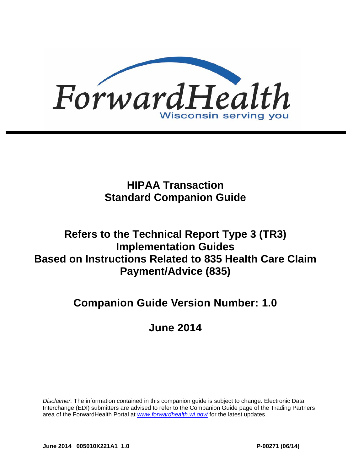

# **HIPAA Transaction Standard Companion Guide**

# **Refers to the Technical Report Type 3 (TR3) Implementation Guides Based on Instructions Related to 835 Health Care Claim Payment/Advice (835)**

# **Companion Guide Version Number: 1.0**

# **June 2014**

*Disclaimer:* The information contained in this companion guide is subject to change. Electronic Data Interchange (EDI) submitters are advised to refer to the Companion Guide page of the Trading Partners area of the ForwardHealth Portal at *[www.forwardhealth.wi.gov/](http://www.forwardhealth.wi.gov/)* for the latest updates.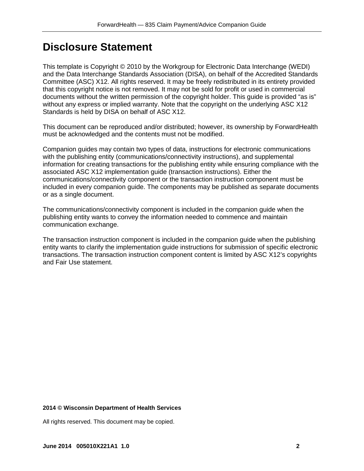# **Disclosure Statement**

This template is Copyright © 2010 by the Workgroup for Electronic Data Interchange (WEDI) and the Data Interchange Standards Association (DISA), on behalf of the Accredited Standards Committee (ASC) X12. All rights reserved. It may be freely redistributed in its entirety provided that this copyright notice is not removed. It may not be sold for profit or used in commercial documents without the written permission of the copyright holder. This guide is provided "as is" without any express or implied warranty. Note that the copyright on the underlying ASC X12 Standards is held by DISA on behalf of ASC X12.

This document can be reproduced and/or distributed; however, its ownership by ForwardHealth must be acknowledged and the contents must not be modified.

Companion guides may contain two types of data, instructions for electronic communications with the publishing entity (communications/connectivity instructions), and supplemental information for creating transactions for the publishing entity while ensuring compliance with the associated ASC X12 implementation guide (transaction instructions). Either the communications/connectivity component or the transaction instruction component must be included in every companion guide. The components may be published as separate documents or as a single document.

The communications/connectivity component is included in the companion guide when the publishing entity wants to convey the information needed to commence and maintain communication exchange.

The transaction instruction component is included in the companion guide when the publishing entity wants to clarify the implementation guide instructions for submission of specific electronic transactions. The transaction instruction component content is limited by ASC X12's copyrights and Fair Use statement.

#### **2014 © Wisconsin Department of Health Services**

All rights reserved. This document may be copied.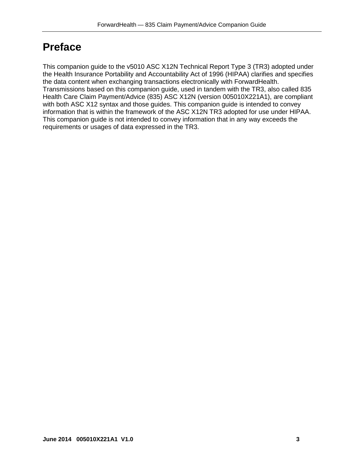# **Preface**

This companion guide to the v5010 ASC X12N Technical Report Type 3 (TR3) adopted under the Health Insurance Portability and Accountability Act of 1996 (HIPAA) clarifies and specifies the data content when exchanging transactions electronically with ForwardHealth. Transmissions based on this companion guide, used in tandem with the TR3, also called 835 Health Care Claim Payment/Advice (835) ASC X12N (version 005010X221A1), are compliant with both ASC X12 syntax and those guides. This companion guide is intended to convey information that is within the framework of the ASC X12N TR3 adopted for use under HIPAA. This companion guide is not intended to convey information that in any way exceeds the requirements or usages of data expressed in the TR3.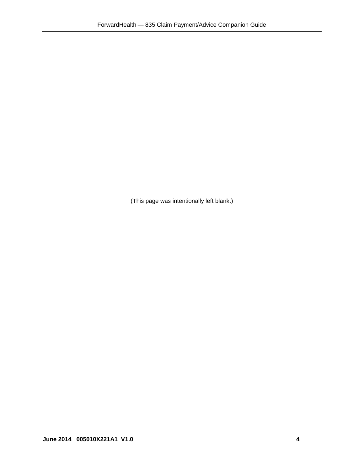(This page was intentionally left blank.)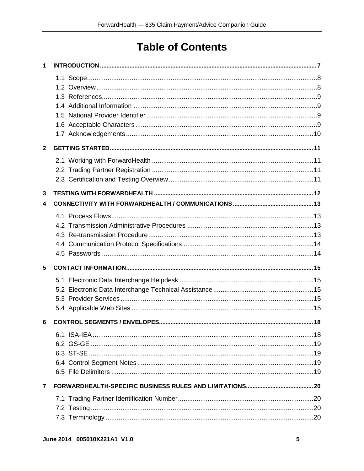# **Table of Contents**

| 1              |  |
|----------------|--|
|                |  |
|                |  |
| $\overline{2}$ |  |
|                |  |
|                |  |
|                |  |
| 3              |  |
| 4              |  |
|                |  |
|                |  |
|                |  |
|                |  |
|                |  |
| 5              |  |
|                |  |
|                |  |
|                |  |
|                |  |
| 6              |  |
|                |  |
|                |  |
|                |  |
|                |  |
|                |  |
| $\overline{7}$ |  |
|                |  |
|                |  |
|                |  |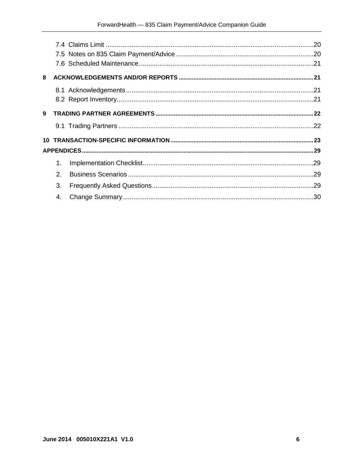| 8  |    |  |
|----|----|--|
|    |    |  |
|    |    |  |
| 9  |    |  |
|    |    |  |
| 10 |    |  |
|    |    |  |
|    | 1. |  |
|    | 2. |  |
|    | 3. |  |
|    | 4. |  |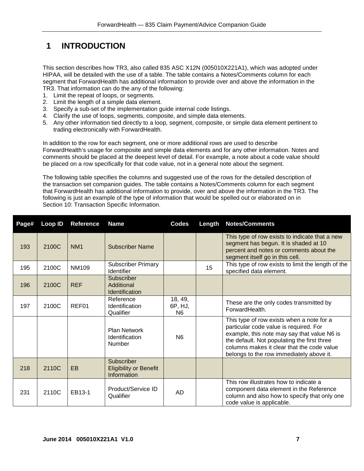# <span id="page-6-0"></span>**1 INTRODUCTION**

This section describes how TR3, also called 835 ASC X12N (005010X221A1), which was adopted under HIPAA, will be detailed with the use of a table. The table contains a Notes/Comments column for each segment that ForwardHealth has additional information to provide over and above the information in the TR3. That information can do the any of the following:

- 1. Limit the repeat of loops, or segments.
- 2. Limit the length of a simple data element.
- 3. Specify a sub-set of the implementation guide internal code listings.
- 4. Clarify the use of loops, segments, composite, and simple data elements.
- 5. Any other information tied directly to a loop, segment, composite, or simple data element pertinent to trading electronically with ForwardHealth.

In addition to the row for each segment, one or more additional rows are used to describe ForwardHealth's usage for composite and simple data elements and for any other information. Notes and comments should be placed at the deepest level of detail. For example, a note about a code value should be placed on a row specifically for that code value, not in a general note about the segment.

The following table specifies the columns and suggested use of the rows for the detailed description of the transaction set companion guides. The table contains a Notes/Comments column for each segment that ForwardHealth has additional information to provide, over and above the information in the TR3. The following is just an example of the type of information that would be spelled out or elaborated on in Section 10: Transaction Specific Information.

| Page# | <b>Loop ID</b> | <b>Reference</b> | <b>Name</b>                                                       | <b>Codes</b>                         | Length | <b>Notes/Comments</b>                                                                                                                                                                                                                                                       |
|-------|----------------|------------------|-------------------------------------------------------------------|--------------------------------------|--------|-----------------------------------------------------------------------------------------------------------------------------------------------------------------------------------------------------------------------------------------------------------------------------|
| 193   | 2100C          | NM <sub>1</sub>  | <b>Subscriber Name</b>                                            |                                      |        | This type of row exists to indicate that a new<br>segment has begun. It is shaded at 10<br>percent and notes or comments about the<br>segment itself go in this cell.                                                                                                       |
| 195   | 2100C          | <b>NM109</b>     | <b>Subscriber Primary</b><br>Identifier                           |                                      | 15     | This type of row exists to limit the length of the<br>specified data element.                                                                                                                                                                                               |
| 196   | 2100C          | <b>REF</b>       | <b>Subscriber</b><br>Additional<br>Identification                 |                                      |        |                                                                                                                                                                                                                                                                             |
| 197   | 2100C          | REF01            | Reference<br>Identification<br>Qualifier                          | 18, 49,<br>6P, HJ,<br>N <sub>6</sub> |        | These are the only codes transmitted by<br>ForwardHealth.                                                                                                                                                                                                                   |
|       |                |                  | <b>Plan Network</b><br><b>Identification</b><br>Number            | N <sub>6</sub>                       |        | This type of row exists when a note for a<br>particular code value is required. For<br>example, this note may say that value N6 is<br>the default. Not populating the first three<br>columns makes it clear that the code value<br>belongs to the row immediately above it. |
| 218   | 2110C          | <b>EB</b>        | <b>Subscriber</b><br><b>Eligibility or Benefit</b><br>Information |                                      |        |                                                                                                                                                                                                                                                                             |
| 231   | 2110C          | EB13-1           | Product/Service ID<br>Qualifier                                   | <b>AD</b>                            |        | This row illustrates how to indicate a<br>component data element in the Reference<br>column and also how to specify that only one<br>code value is applicable.                                                                                                              |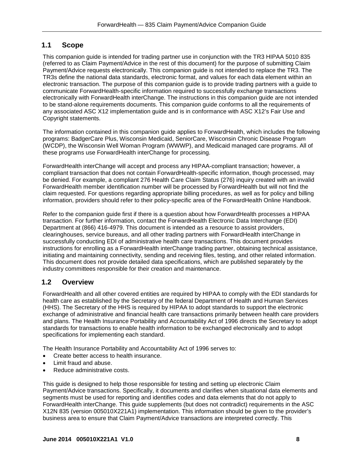# <span id="page-7-0"></span>**1.1 Scope**

This companion guide is intended for trading partner use in conjunction with the TR3 HIPAA 5010 835 (referred to as Claim Payment/Advice in the rest of this document) for the purpose of submitting Claim Payment/Advice requests electronically. This companion guide is not intended to replace the TR3. The TR3s define the national data standards, electronic format, and values for each data element within an electronic transaction. The purpose of this companion guide is to provide trading partners with a guide to communicate ForwardHealth-specific information required to successfully exchange transactions electronically with ForwardHealth interChange. The instructions in this companion guide are not intended to be stand-alone requirements documents. This companion guide conforms to all the requirements of any associated ASC X12 implementation guide and is in conformance with ASC X12's Fair Use and Copyright statements.

The information contained in this companion guide applies to ForwardHealth, which includes the following programs: BadgerCare Plus, Wisconsin Medicaid, SeniorCare, Wisconsin Chronic Disease Program (WCDP), the Wisconsin Well Woman Program (WWWP), and Medicaid managed care programs. All of these programs use ForwardHealth interChange for processing.

ForwardHealth interChange will accept and process any HIPAA-compliant transaction; however, a compliant transaction that does not contain ForwardHealth-specific information, though processed, may be denied. For example, a compliant 276 Health Care Claim Status (276) inquiry created with an invalid ForwardHealth member identification number will be processed by ForwardHealth but will not find the claim requested. For questions regarding appropriate billing procedures, as well as for policy and billing information, providers should refer to their policy-specific area of the ForwardHealth Online Handbook.

Refer to the companion guide first if there is a question about how ForwardHealth processes a HIPAA transaction. For further information, contact the ForwardHealth Electronic Data Interchange (EDI) Department at (866) 416-4979. This document is intended as a resource to assist providers, clearinghouses, service bureaus, and all other trading partners with ForwardHealth interChange in successfully conducting EDI of administrative health care transactions. This document provides instructions for enrolling as a ForwardHealth interChange trading partner, obtaining technical assistance, initiating and maintaining connectivity, sending and receiving files, testing, and other related information. This document does not provide detailed data specifications, which are published separately by the industry committees responsible for their creation and maintenance.

### <span id="page-7-1"></span>**1.2 Overview**

ForwardHealth and all other covered entities are required by HIPAA to comply with the EDI standards for health care as established by the Secretary of the federal Department of Health and Human Services (HHS). The Secretary of the HHS is required by HIPAA to adopt standards to support the electronic exchange of administrative and financial health care transactions primarily between health care providers and plans. The Health Insurance Portability and Accountability Act of 1996 directs the Secretary to adopt standards for transactions to enable health information to be exchanged electronically and to adopt specifications for implementing each standard.

The Health Insurance Portability and Accountability Act of 1996 serves to:

- Create better access to health insurance.
- Limit fraud and abuse.
- Reduce administrative costs.

This guide is designed to help those responsible for testing and setting up electronic Claim Payment/Advice transactions. Specifically, it documents and clarifies when situational data elements and segments must be used for reporting and identifies codes and data elements that do not apply to ForwardHealth interChange. This guide supplements (but does not contradict) requirements in the ASC X12N 835 (version 005010X221A1) implementation. This information should be given to the provider's business area to ensure that Claim Payment/Advice transactions are interpreted correctly. This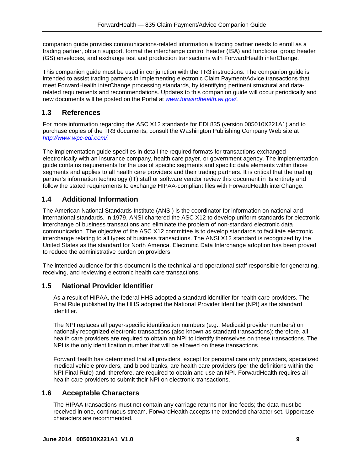companion guide provides communications-related information a trading partner needs to enroll as a trading partner, obtain support, format the interchange control header (ISA) and functional group header (GS) envelopes, and exchange test and production transactions with ForwardHealth interChange.

This companion guide must be used in conjunction with the TR3 instructions. The companion guide is intended to assist trading partners in implementing electronic Claim Payment/Advice transactions that meet ForwardHealth interChange processing standards, by identifying pertinent structural and datarelated requirements and recommendations. Updates to this companion guide will occur periodically and new documents will be posted on the Portal at *[www.forwardhealth.wi.gov/](http://www.forwardhealth.wi.gov/)*.

# <span id="page-8-0"></span>**1.3 References**

For more information regarding the ASC X12 standards for EDI 835 (version 005010X221A1) and to purchase copies of the TR3 documents, consult the Washington Publishing Company Web site at *<http://www.wpc-edi.com/>*.

The implementation guide specifies in detail the required formats for transactions exchanged electronically with an insurance company, health care payer, or government agency. The implementation guide contains requirements for the use of specific segments and specific data elements within those segments and applies to all health care providers and their trading partners. It is critical that the trading partner's information technology (IT) staff or software vendor review this document in its entirety and follow the stated requirements to exchange HIPAA-compliant files with ForwardHealth interChange.

# <span id="page-8-1"></span>**1.4 Additional Information**

The American National Standards Institute (ANSI) is the coordinator for information on national and international standards. In 1979, ANSI chartered the ASC X12 to develop uniform standards for electronic interchange of business transactions and eliminate the problem of non-standard electronic data communication. The objective of the ASC X12 committee is to develop standards to facilitate electronic interchange relating to all types of business transactions. The ANSI X12 standard is recognized by the United States as the standard for North America. Electronic Data Interchange adoption has been proved to reduce the administrative burden on providers.

The intended audience for this document is the technical and operational staff responsible for generating, receiving, and reviewing electronic health care transactions.

# <span id="page-8-2"></span>**1.5 National Provider Identifier**

As a result of HIPAA, the federal HHS adopted a standard identifier for health care providers. The Final Rule published by the HHS adopted the National Provider Identifier (NPI) as the standard identifier.

The NPI replaces all payer-specific identification numbers (e.g., Medicaid provider numbers) on nationally recognized electronic transactions (also known as standard transactions); therefore, all health care providers are required to obtain an NPI to identify themselves on these transactions. The NPI is the only identification number that will be allowed on these transactions.

ForwardHealth has determined that all providers, except for personal care only providers, specialized medical vehicle providers, and blood banks, are health care providers (per the definitions within the NPI Final Rule) and, therefore, are required to obtain and use an NPI. ForwardHealth requires all health care providers to submit their NPI on electronic transactions.

### <span id="page-8-3"></span>**1.6 Acceptable Characters**

The HIPAA transactions must not contain any carriage returns nor line feeds; the data must be received in one, continuous stream. ForwardHealth accepts the extended character set. Uppercase characters are recommended.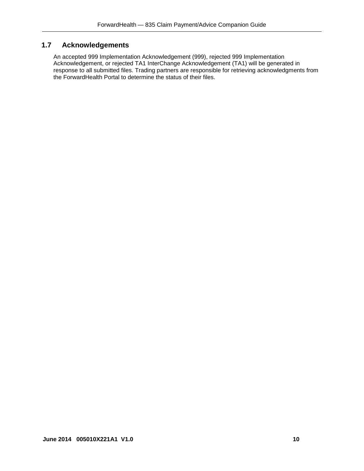### <span id="page-9-0"></span>**1.7 Acknowledgements**

An accepted 999 Implementation Acknowledgement (999), rejected 999 Implementation Acknowledgement, or rejected TA1 InterChange Acknowledgement (TA1) will be generated in response to all submitted files. Trading partners are responsible for retrieving acknowledgments from the ForwardHealth Portal to determine the status of their files.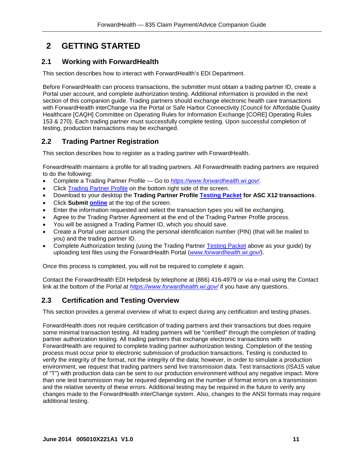# <span id="page-10-0"></span>**2 GETTING STARTED**

# <span id="page-10-1"></span>**2.1 Working with ForwardHealth**

This section describes how to interact with ForwardHealth's EDI Department.

Before ForwardHealth can process transactions, the submitter must obtain a trading partner ID, create a Portal user account, and complete authorization testing. Additional information is provided in the next section of this companion guide. Trading partners should exchange electronic health care transactions with ForwardHealth interChange via the Portal or Safe Harbor Connectivity (Council for Affordable Quality Healthcare [CAQH] Committee on Operating Rules for Information Exchange [CORE] Operating Rules 153 & 270). Each trading partner must successfully complete testing. Upon successful completion of testing, production transactions may be exchanged.

# <span id="page-10-2"></span>**2.2 Trading Partner Registration**

This section describes how to register as a trading partner with ForwardHealth.

ForwardHealth maintains a profile for all trading partners. All ForwardHealth trading partners are required to do the following:

- Complete a Trading Partner Profile Go to *<https://www.forwardhealth.wi.gov/>*.
- Click Trading Partner Profile on the bottom right side of the screen.
- Download to your desktop the **Trading Partner Profile Testing Packet for ASC X12 transactions**.
- Click **Submit online** at the top of the screen.
- Enter the information requested and select the transaction types you will be exchanging.
- Agree to the Trading Partner Agreement at the end of the Trading Partner Profile process.
- You will be assigned a Trading Partner ID, which you should save.
- Create a Portal user account using the personal identification number (PIN) (that will be mailed to you) and the trading partner ID.
- Complete Authorization testing (using the Trading Partner Testing Packet above as your guide) by uploading test files using the ForwardHealth Portal (*[www.forwardhealth.wi.gov/](http://www.forwardhealth.wi.gov/)*).

Once this process is completed, you will not be required to complete it again.

Contact the ForwardHealth EDI Helpdesk by telephone at (866) 416-4979 or via e-mail using the Contact link at the bottom of the Portal at *<https://www.forwardhealth.wi.gov/>* if you have any questions.

# <span id="page-10-3"></span>**2.3 Certification and Testing Overview**

This section provides a general overview of what to expect during any certification and testing phases.

ForwardHealth does not require certification of trading partners and their transactions but does require some minimal transaction testing. All trading partners will be "certified" through the completion of trading partner authorization testing. All trading partners that exchange electronic transactions with ForwardHealth are required to complete trading partner authorization testing. Completion of the testing process must occur prior to electronic submission of production transactions. Testing is conducted to verify the integrity of the format, not the integrity of the data; however, in order to simulate a production environment, we request that trading partners send live transmission data. Test transactions (ISA15 value of "T") with production data can be sent to our production environment without any negative impact. More than one test transmission may be required depending on the number of format errors on a transmission and the relative severity of these errors. Additional testing may be required in the future to verify any changes made to the ForwardHealth interChange system. Also, changes to the ANSI formats may require additional testing.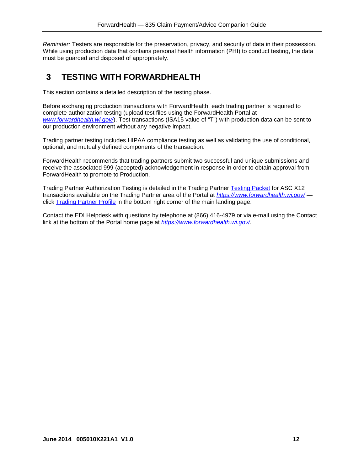*Reminder:* Testers are responsible for the preservation, privacy, and security of data in their possession. While using production data that contains personal health information (PHI) to conduct testing, the data must be guarded and disposed of appropriately.

# <span id="page-11-0"></span>**3 TESTING WITH FORWARDHEALTH**

This section contains a detailed description of the testing phase.

Before exchanging production transactions with ForwardHealth, each trading partner is required to complete authorization testing (upload test files using the ForwardHealth Portal at *[www.forwardhealth.wi.gov/](http://www.forwardhealth.wi.gov/)*). Test transactions (ISA15 value of "T") with production data can be sent to our production environment without any negative impact.

Trading partner testing includes HIPAA compliance testing as well as validating the use of conditional, optional, and mutually defined components of the transaction.

ForwardHealth recommends that trading partners submit two successful and unique submissions and receive the associated 999 (accepted) acknowledgement in response in order to obtain approval from ForwardHealth to promote to Production.

Trading Partner Authorization Testing is detailed in the Trading Partner Testing Packet for ASC X12 transactions available on the Trading Partner area of the Portal at *<https://www.forwardhealth.wi.gov/>* click Trading Partner Profile in the bottom right corner of the main landing page.

Contact the EDI Helpdesk with questions by telephone at (866) 416-4979 or via e-mail using the Contact link at the bottom of the Portal home page at *<https://www.forwardhealth.wi.gov/>*.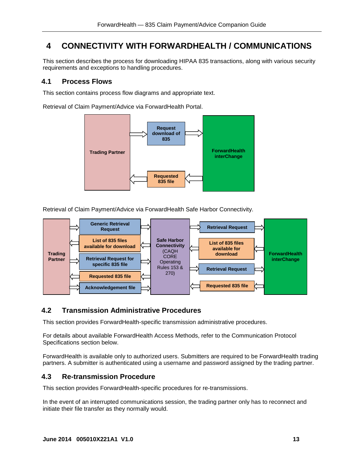# <span id="page-12-0"></span>**4 CONNECTIVITY WITH FORWARDHEALTH / COMMUNICATIONS**

This section describes the process for downloading HIPAA 835 transactions, along with various security requirements and exceptions to handling procedures.

### <span id="page-12-1"></span>**4.1 Process Flows**

This section contains process flow diagrams and appropriate text.

Retrieval of Claim Payment/Advice via ForwardHealth Portal.



Retrieval of Claim Payment/Advice via ForwardHealth Safe Harbor Connectivity.



# <span id="page-12-2"></span>**4.2 Transmission Administrative Procedures**

This section provides ForwardHealth-specific transmission administrative procedures.

For details about available ForwardHealth Access Methods, refer to the Communication Protocol Specifications section below.

ForwardHealth is available only to authorized users. Submitters are required to be ForwardHealth trading partners. A submitter is authenticated using a username and password assigned by the trading partner.

# <span id="page-12-3"></span>**4.3 Re-transmission Procedure**

This section provides ForwardHealth-specific procedures for re-transmissions.

In the event of an interrupted communications session, the trading partner only has to reconnect and initiate their file transfer as they normally would.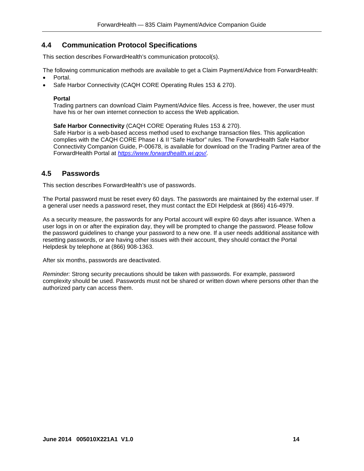### <span id="page-13-0"></span>**4.4 Communication Protocol Specifications**

This section describes ForwardHealth's communication protocol(s).

The following communication methods are available to get a Claim Payment/Advice from ForwardHealth: Portal.

Safe Harbor Connectivity (CAQH CORE Operating Rules 153 & 270).

#### **Portal**

Trading partners can download Claim Payment/Advice files. Access is free, however, the user must have his or her own internet connection to access the Web application.

**Safe Harbor Connectivity** (CAQH CORE Operating Rules 153 & 270).

Safe Harbor is a web-based access method used to exchange transaction files. This application complies with the CAQH CORE Phase I & II "Safe Harbor" rules. The ForwardHealth Safe Harbor Connectivity Companion Guide, P-00678, is available for download on the Trading Partner area of the ForwardHealth Portal at *<https://www.forwardhealth.wi.gov/>*.

#### <span id="page-13-1"></span>**4.5 Passwords**

This section describes ForwardHealth's use of passwords.

The Portal password must be reset every 60 days. The passwords are maintained by the external user. If a general user needs a password reset, they must contact the EDI Helpdesk at (866) 416-4979.

As a security measure, the passwords for any Portal account will expire 60 days after issuance. When a user logs in on or after the expiration day, they will be prompted to change the password. Please follow the password guidelines to change your password to a new one. If a user needs additional assitance with resetting passwords, or are having other issues with their account, they should contact the Portal Helpdesk by telephone at (866) 908-1363.

After six months, passwords are deactivated.

*Reminder:* Strong security precautions should be taken with passwords. For example, password complexity should be used. Passwords must not be shared or written down where persons other than the authorized party can access them.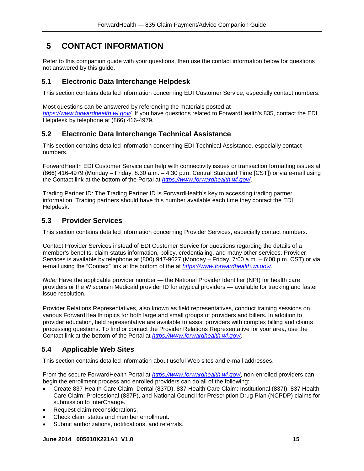# <span id="page-14-0"></span>**5 CONTACT INFORMATION**

Refer to this companion guide with your questions, then use the contact information below for questions not answered by this guide.

# <span id="page-14-1"></span>**5.1 Electronic Data Interchange Helpdesk**

This section contains detailed information concerning EDI Customer Service, especially contact numbers.

Most questions can be answered by referencing the materials posted at *<https://www.forwardhealth.wi.gov/>*. If you have questions related to ForwardHealth's 835, contact the EDI Helpdesk by telephone at (866) 416-4979.

# <span id="page-14-2"></span>**5.2 Electronic Data Interchange Technical Assistance**

This section contains detailed information concerning EDI Technical Assistance, especially contact numbers.

ForwardHealth EDI Customer Service can help with connectivity issues or transaction formatting issues at (866) 416-4979 (Monday – Friday, 8:30 a.m. – 4:30 p.m. Central Standard Time [CST]) or via e-mail using the Contact link at the bottom of the Portal at *<https://www.forwardhealth.wi.gov/>*.

Trading Partner ID: The Trading Partner ID is ForwardHealth's key to accessing trading partner information. Trading partners should have this number available each time they contact the EDI Helpdesk.

### <span id="page-14-3"></span>**5.3 Provider Services**

This section contains detailed information concerning Provider Services, especially contact numbers.

Contact Provider Services instead of EDI Customer Service for questions regarding the details of a member's benefits, claim status information, policy, credentialing, and many other services. Provider Services is available by telephone at (800) 947-9627 (Monday – Friday, 7:00 a.m. – 6:00 p.m. CST) or via e-mail using the "Contact" link at the bottom of the at *<https://www.forwardhealth.wi.gov/>*.

*Note:* Have the applicable provider number — the National Provider Identifier (NPI) for health care providers or the Wisconsin Medicaid provider ID for atypical providers — available for tracking and faster issue resolution.

Provider Relations Representatives, also known as field representatives, conduct training sessions on various ForwardHealth topics for both large and small groups of providers and billers. In addition to provider education, field representative are available to assist providers with complex billing and claims processing questions. To find or contact the Provider Relations Representative for your area, use the Contact link at the bottom of the Portal at *<https://www.forwardhealth.wi.gov/>*.

# <span id="page-14-4"></span>**5.4 Applicable Web Sites**

This section contains detailed information about useful Web sites and e-mail addresses.

From the secure ForwardHealth Portal at *<https://www.forwardhealth.wi.gov/>*, non-enrolled providers can begin the enrollment process and enrolled providers can do all of the following:

- Create 837 Health Care Claim: Dental (837D), 837 Health Care Claim: Institutional (837I), 837 Health Care Claim: Professional (837P), and National Council for Prescription Drug Plan (NCPDP) claims for submission to interChange.
- Request claim reconsiderations.
- Check claim status and member enrollment.
- Submit authorizations, notifications, and referrals.

#### **June 2014 005010X221A1 V1.0 15**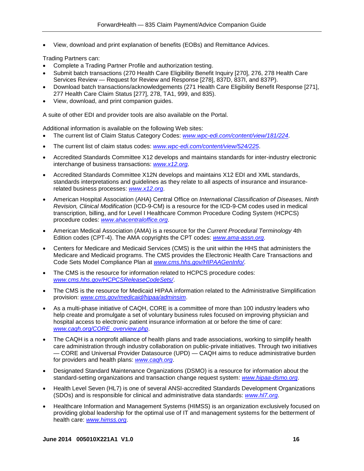• View, download and print explanation of benefits (EOBs) and Remittance Advices.

Trading Partners can:

- Complete a Trading Partner Profile and authorization testing.
- Submit batch transactions (270 Health Care Eligibility Benefit Inquiry [270], 276, 278 Health Care Services Review — Request for Review and Response [278], 837D, 837I, and 837P).
- Download batch transactions/acknowledgements (271 Health Care Eligibility Benefit Response [271], 277 Health Care Claim Status [277], 278, TA1, 999, and 835).
- View, download, and print companion guides.

A suite of other EDI and provider tools are also available on the Portal.

Additional information is available on the following Web sites:

- The current list of Claim Status Category Codes: *[www.wpc-edi.com/content/view/181/224](http://www.wpc-edi.com/content/view/181/224)*.
- The current list of claim status codes: *[www.wpc-edi.com/content/view/524/225](http://www.wpc-edi.com/content/view/524/225)*.
- Accredited Standards Committee X12 develops and maintains standards for inter-industry electronic interchange of business transactions: *[www.x12.org](http://www.x12.org/)*.
- Accredited Standards Committee X12N develops and maintains X12 EDI and XML standards, standards interpretations and guidelines as they relate to all aspects of insurance and insurancerelated business processes: *[www.x12.org](http://www.x12.org/)*.
- American Hospital Association (AHA) Central Office on *International Classification of Diseases, Ninth Revision, Clinical Modification* (ICD-9-CM) is a resource for the ICD-9-CM codes used in medical transcription, billing, and for Level I Healthcare Common Procedure Coding System (HCPCS) procedure codes: *[www.ahacentraloffice.org](http://www.ahacentraloffice.org/)*.
- American Medical Association (AMA) is a resource for the *Current Procedural Terminology* 4th Edition codes (CPT-4). The AMA copyrights the CPT codes: *[www.ama-assn.org](http://www.ama-assn.org/)*.
- Centers for Medicare and Medicaid Services (CMS) is the unit within the HHS that administers the Medicare and Medicaid programs. The CMS provides the Electronic Health Care Transactions and Code Sets Model Compliance Plan at *[www.cms.hhs.gov/HIPAAGenInfo/](http://www.cms.hhs.gov/HIPAAGenInfo/)*.
- The CMS is the resource for information related to HCPCS procedure codes: *[www.cms.hhs.gov/HCPCSReleaseCodeSets/](http://www.cms.hhs.gov/HCPCSReleaseCodeSets/)*.
- The CMS is the resource for Medicaid HIPAA information related to the Administrative Simplification provision: *[www.cms.gov/medicaid/hipaa/adminsim](http://www.cms.gov/medicaid/hipaa/adminsim)*.
- As a multi-phase initiative of CAQH, CORE is a committee of more than 100 industry leaders who help create and promulgate a set of voluntary business rules focused on improving physician and hospital access to electronic patient insurance information at or before the time of care: *[www.caqh.org/CORE\\_overview.php](http://www.caqh.org/CORE_overview.php)*.
- The CAQH is a nonprofit alliance of health plans and trade associations, working to simplify health care administration through industry collaboration on public-private initiatives. Through two initiatives — CORE and Universal Provider Datasource (UPD) — CAQH aims to reduce administrative burden for providers and health plans: *[www.caqh.org](http://www.caqh.org/)*.
- Designated Standard Maintenance Organizations (DSMO) is a resource for information about the standard-setting organizations and transaction change request system: *[www.hipaa-dsmo.org](http://www.hipaa-dsmo.org/)*.
- Health Level Seven (HL7) is one of several ANSI-accredited Standards Development Organizations (SDOs) and is responsible for clinical and administrative data standards: *[www.hl7.org](http://www.hl7.org/)*.
- Healthcare Information and Management Systems (HIMSS) is an organization exclusively focused on providing global leadership for the optimal use of IT and management systems for the betterment of health care: *[www.himss.org](http://www.himss.org/)*.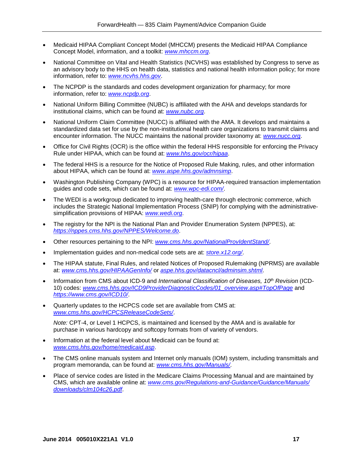- Medicaid HIPAA Compliant Concept Model (MHCCM) presents the Medicaid HIPAA Compliance Concept Model, information, and a toolkit: *[www.mhccm.org](http://www.mhccm.org/)*.
- National Committee on Vital and Health Statistics (NCVHS) was established by Congress to serve as an advisory body to the HHS on health data, statistics and national health information policy; for more information, refer to: *[www.ncvhs.hhs.gov](http://www.ncvhs.hhs.gov/)*.
- The NCPDP is the standards and codes development organization for pharmacy; for more information, refer to: *[www.ncpdp.org](http://www.ncpdp.org/)*.
- National Uniform Billing Committee (NUBC) is affiliated with the AHA and develops standards for institutional claims, which can be found at: *[www.nubc.org](http://www.nubc.org/)*.
- National Uniform Claim Committee (NUCC) is affiliated with the AMA. It develops and maintains a standardized data set for use by the non-institutional health care organizations to transmit claims and encounter information. The NUCC maintains the national provider taxonomy at: *[www.nucc.org](http://www.nucc.org/)*.
- Office for Civil Rights (OCR) is the office within the federal HHS responsible for enforcing the Privacy Rule under HIPAA, which can be found at: *[www.hhs.gov/ocr/hipaa](http://www.hhs.gov/ocr/hipaa)*.
- The federal HHS is a resource for the Notice of Proposed Rule Making, rules, and other information about HIPAA, which can be found at: *[www.aspe.hhs.gov/admnsimp](http://www.aspe.hhs.gov/admnsimp)*.
- Washington Publishing Company (WPC) is a resource for HIPAA-required transaction implementation guides and code sets, which can be found at: *[www.wpc-edi.com/](http://www.wpc-edi.com/)*.
- The WEDI is a workgroup dedicated to improving health-care through electronic commerce, which includes the Strategic National Implementation Process (SNIP) for complying with the administrativesimplification provisions of HIPAA: *[www.wedi.org](http://www.wedi.org/)*.
- The registry for the NPI is the National Plan and Provider Enumeration System (NPPES), at: *<https://nppes.cms.hhs.gov/NPPES/Welcome.do>*.
- Other resources pertaining to the NPI: *[www.cms.hhs.gov/NationalProvIdentStand/](http://www.cms.hhs.gov/NationalProvIdentStand/)*.
- Implementation guides and non-medical code sets are at: *[store.x12.org/](http://store.x12.org/)*.
- The HIPAA statute, Final Rules, and related Notices of Proposed Rulemaking (NPRMS) are available at: *[www.cms.hhs.gov/HIPAAGenInfo/](http://www.cms.hhs.gov/HIPAAGenInfo/)* or *[aspe.hhs.gov/datacncl/adminsim.shtml](http://aspe.hhs.gov/datacncl/adminsim.shtml)*.
- Information from CMS about ICD-9 and *International Classification of Diseases, 10th Revision* (ICD-10) codes: *[www.cms.hhs.gov/ICD9ProviderDiagnosticCodes/01\\_overview.asp#TopOfPage](http://www.cms.hhs.gov/ICD9ProviderDiagnosticCodes/01_overview.asp%23TopOfPage)* and *<https://www.cms.gov/ICD10/>*.
- Quarterly updates to the HCPCS code set are available from CMS at: *[www.cms.hhs.gov/HCPCSReleaseCodeSets/](http://www.cms.hhs.gov/HCPCSReleaseCodeSets/)*.

*Note:* CPT-4, or Level 1 HCPCS, is maintained and licensed by the AMA and is available for purchase in various hardcopy and softcopy formats from of variety of vendors.

- Information at the federal level about Medicaid can be found at: *[www.cms.hhs.gov/home/medicaid.asp](http://www.cms.hhs.gov/home/medicaid.asp)*.
- The CMS online manuals system and Internet only manuals (IOM) system, including transmittals and program memoranda, can be found at: *[www.cms.hhs.gov/Manuals/](http://www.cms.hhs.gov/Manuals/)*.
- Place of service codes are listed in the Medicare Claims Processing Manual and are maintained by CMS, which are available online at: *[www.cms.gov/Regulations-and-Guidance/Guidance/Manuals/](http://www.cms.gov/Regulations-and-Guidance/Guidance/Manuals/%0bdownloads/clm104c26.pdf) [downloads/clm104c26.pdf](http://www.cms.gov/Regulations-and-Guidance/Guidance/Manuals/%0bdownloads/clm104c26.pdf)*.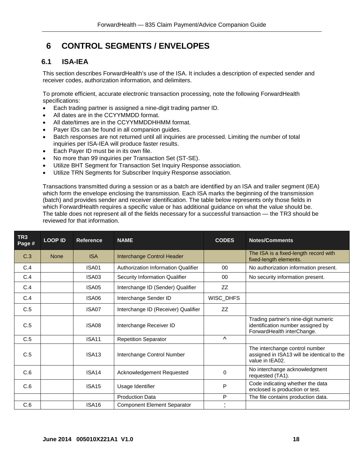# <span id="page-17-0"></span>**6 CONTROL SEGMENTS / ENVELOPES**

# <span id="page-17-1"></span>**6.1 ISA-IEA**

This section describes ForwardHealth's use of the ISA. It includes a description of expected sender and receiver codes, authorization information, and delimiters.

To promote efficient, accurate electronic transaction processing, note the following ForwardHealth specifications:

- Each trading partner is assigned a nine-digit trading partner ID.
- All dates are in the CCYYMMDD format.
- All date/times are in the CCYYMMDDHHMM format.
- Payer IDs can be found in all companion guides.
- Batch responses are not returned until all inquiries are processed. Limiting the number of total inquiries per ISA-IEA will produce faster results.
- Each Payer ID must be in its own file.
- No more than 99 inquiries per Transaction Set (ST-SE).
- Utilize BHT Segment for Transaction Set Inquiry Response association.
- Utilize TRN Segments for Subscriber Inquiry Response association.

Transactions transmitted during a session or as a batch are identified by an ISA and trailer segment (IEA) which form the envelope enclosing the transmission. Each ISA marks the beginning of the transmission (batch) and provides sender and receiver identification. The table below represents only those fields in which ForwardHealth requires a specific value or has additional guidance on what the value should be. The table does not represent all of the fields necessary for a successful transaction — the TR3 should be reviewed for that information.

| TR <sub>3</sub><br>Page # | <b>LOOP ID</b> | <b>Reference</b>  | <b>NAME</b>                                | <b>CODES</b>                                                             | <b>Notes/Comments</b>                                                                                   |  |
|---------------------------|----------------|-------------------|--------------------------------------------|--------------------------------------------------------------------------|---------------------------------------------------------------------------------------------------------|--|
| C.3                       | <b>None</b>    | <b>ISA</b>        | Interchange Control Header                 |                                                                          | The ISA is a fixed-length record with<br>fixed-length elements.                                         |  |
| C.4                       |                | ISA01             | <b>Authorization Information Qualifier</b> | 00                                                                       | No authorization information present.                                                                   |  |
| C.4                       |                | ISA03             | Security Information Qualifier             | 00                                                                       | No security information present.                                                                        |  |
| C.4                       |                | ISA05             | Interchange ID (Sender) Qualifier          | ZZ                                                                       |                                                                                                         |  |
| C.4                       |                | ISA06             | Interchange Sender ID                      | WISC_DHFS                                                                |                                                                                                         |  |
| C.5                       |                | ISA07             | Interchange ID (Receiver) Qualifier        | ZZ                                                                       |                                                                                                         |  |
| C.5                       |                | <b>ISA08</b>      | Interchange Receiver ID                    |                                                                          | Trading partner's nine-digit numeric<br>identification number assigned by<br>ForwardHealth interChange. |  |
| C.5                       |                | <b>ISA11</b>      | <b>Repetition Separator</b>                | $\lambda$                                                                |                                                                                                         |  |
| C.5                       |                | ISA <sub>13</sub> | Interchange Control Number                 |                                                                          | The interchange control number<br>assigned in ISA13 will be identical to the<br>value in IEA02.         |  |
| C.6                       |                | ISA <sub>14</sub> | Acknowledgement Requested                  | 0                                                                        | No interchange acknowledgment<br>requested (TA1).                                                       |  |
| C.6                       |                | ISA <sub>15</sub> | Usage Identifier                           | Code indicating whether the data<br>P<br>enclosed is production or test. |                                                                                                         |  |
|                           |                |                   | <b>Production Data</b>                     | P                                                                        | The file contains production data.                                                                      |  |
| C.6                       |                | ISA <sub>16</sub> | <b>Component Element Separator</b>         |                                                                          |                                                                                                         |  |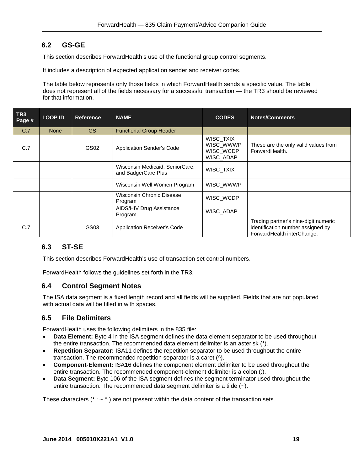# <span id="page-18-0"></span>**6.2 GS-GE**

This section describes ForwardHealth's use of the functional group control segments.

It includes a description of expected application sender and receiver codes.

The table below represents only those fields in which ForwardHealth sends a specific value. The table does not represent all of the fields necessary for a successful transaction — the TR3 should be reviewed for that information.

| TR <sub>3</sub><br>Page # | <b>LOOP ID</b> | <b>Reference</b> | <b>NAME</b>                                            | <b>CODES</b>                                     | <b>Notes/Comments</b>                                                                                   |
|---------------------------|----------------|------------------|--------------------------------------------------------|--------------------------------------------------|---------------------------------------------------------------------------------------------------------|
| C.7                       | <b>None</b>    | GS.              | <b>Functional Group Header</b>                         |                                                  |                                                                                                         |
| C.7                       |                | GS02             | Application Sender's Code                              | WISC_TXIX<br>WISC_WWWP<br>WISC_WCDP<br>WISC_ADAP | These are the only valid values from<br>ForwardHealth.                                                  |
|                           |                |                  | Wisconsin Medicaid, SeniorCare,<br>and BadgerCare Plus | WISC_TXIX                                        |                                                                                                         |
|                           |                |                  | Wisconsin Well Women Program                           | WISC_WWWP                                        |                                                                                                         |
|                           |                |                  | Wisconsin Chronic Disease<br>Program                   | WISC_WCDP                                        |                                                                                                         |
|                           |                |                  | AIDS/HIV Drug Assistance<br>Program                    | WISC_ADAP                                        |                                                                                                         |
| C.7                       |                | GS03             | Application Receiver's Code                            |                                                  | Trading partner's nine-digit numeric<br>identification number assigned by<br>ForwardHealth interChange. |

### <span id="page-18-1"></span>**6.3 ST-SE**

This section describes ForwardHealth's use of transaction set control numbers.

ForwardHealth follows the guidelines set forth in the TR3.

### <span id="page-18-2"></span>**6.4 Control Segment Notes**

The ISA data segment is a fixed length record and all fields will be supplied. Fields that are not populated with actual data will be filled in with spaces.

### <span id="page-18-3"></span>**6.5 File Delimiters**

ForwardHealth uses the following delimiters in the 835 file:

- **Data Element:** Byte 4 in the ISA segment defines the data element separator to be used throughout the entire transaction. The recommended data element delimiter is an asterisk (\*).
- **Repetition Separator:** ISA11 defines the repetition separator to be used throughout the entire transaction. The recommended repetition separator is a caret (^).
- **Component-Element:** ISA16 defines the component element delimiter to be used throughout the entire transaction. The recommended component-element delimiter is a colon (:).
- **Data Segment:** Byte 106 of the ISA segment defines the segment terminator used throughout the entire transaction. The recommended data segment delimiter is a tilde (~).

These characters ( $* : \neg \land$ ) are not present within the data content of the transaction sets.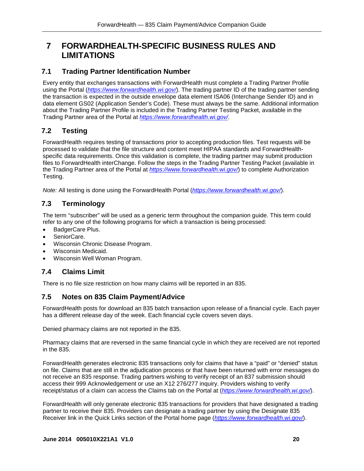# <span id="page-19-0"></span>**7 FORWARDHEALTH-SPECIFIC BUSINESS RULES AND LIMITATIONS**

### <span id="page-19-1"></span>**7.1 Trading Partner Identification Number**

Every entity that exchanges transactions with ForwardHealth must complete a Trading Partner Profile using the Portal (*<https://www.forwardhealth.wi.gov/>*). The trading partner ID of the trading partner sending the transaction is expected in the outside envelope data element ISA06 (Interchange Sender ID) and in data element GS02 (Application Sender's Code). These must always be the same. Additional information about the Trading Partner Profile is included in the Trading Partner Testing Packet, available in the Trading Partner area of the Portal at *<https://www.forwardhealth.wi.gov/>*.

### <span id="page-19-2"></span>**7.2 Testing**

ForwardHealth requires testing of transactions prior to accepting production files. Test requests will be processed to validate that the file structure and content meet HIPAA standards and ForwardHealthspecific data requirements. Once this validation is complete, the trading partner may submit production files to ForwardHealth interChange. Follow the steps in the Trading Partner Testing Packet (available in the Trading Partner area of the Portal at *<https://www.forwardhealth.wi.gov/>*) to complete Authorization Testing.

*Note:* All testing is done using the ForwardHealth Portal (*<https://www.forwardhealth.wi.gov/>*).

### <span id="page-19-3"></span>**7.3 Terminology**

The term "subscriber" will be used as a generic term throughout the companion guide. This term could refer to any one of the following programs for which a transaction is being processed:

- BadgerCare Plus.
- SeniorCare.
- Wisconsin Chronic Disease Program.
- Wisconsin Medicaid.
- <span id="page-19-4"></span>• Wisconsin Well Woman Program.

#### **7.4 Claims Limit**

<span id="page-19-5"></span>There is no file size restriction on how many claims will be reported in an 835.

### **7.5 Notes on 835 Claim Payment/Advice**

ForwardHealth posts for download an 835 batch transaction upon release of a financial cycle. Each payer has a different release day of the week. Each financial cycle covers seven days.

Denied pharmacy claims are not reported in the 835.

Pharmacy claims that are reversed in the same financial cycle in which they are received are not reported in the 835.

ForwardHealth generates electronic 835 transactions only for claims that have a "paid" or "denied" status on file. Claims that are still in the adjudication process or that have been returned with error messages do not receive an 835 response. Trading partners wishing to verify receipt of an 837 submission should access their 999 Acknowledgement or use an X12 276/277 inquiry. Providers wishing to verify receipt/status of a claim can access the Claims tab on the Portal at (*<https://www.forwardhealth.wi.gov/>*).

ForwardHealth will only generate electronic 835 transactions for providers that have designated a trading partner to receive their 835. Providers can designate a trading partner by using the Designate 835 Receiver link in the Quick Links section of the Portal home page (*<https://www.forwardhealth.wi.gov/>*).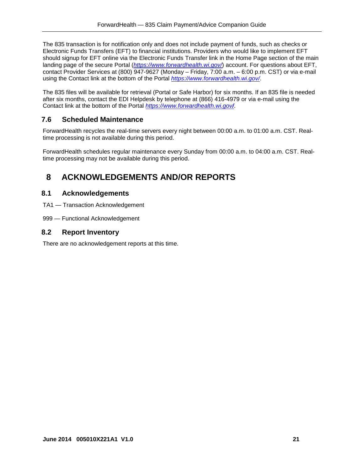The 835 transaction is for notification only and does not include payment of funds, such as checks or Electronic Funds Transfers (EFT) to financial institutions. Providers who would like to implement EFT should signup for EFT online via the Electronic Funds Transfer link in the Home Page section of the main landing page of the secure Portal (*<https://www.forwardhealth.wi.gov/>*) account. For questions about EFT, contact Provider Services at (800) 947-9627 (Monday – Friday, 7:00 a.m. – 6:00 p.m. CST) or via e-mail using the Contact link at the bottom of the Portal *<https://www.forwardhealth.wi.gov/>*.

The 835 files will be available for retrieval (Portal or Safe Harbor) for six months. If an 835 file is needed after six months, contact the EDI Helpdesk by telephone at (866) 416-4979 or via e-mail using the Contact link at the bottom of the Portal *[https://www.forwardhealth.wi.gov](https://www.forwardhealth.wi.gov/)/*.

# <span id="page-20-0"></span>**7.6 Scheduled Maintenance**

ForwardHealth recycles the real-time servers every night between 00:00 a.m. to 01:00 a.m. CST. Realtime processing is not available during this period.

ForwardHealth schedules regular maintenance every Sunday from 00:00 a.m. to 04:00 a.m. CST. Realtime processing may not be available during this period.

# <span id="page-20-1"></span>**8 ACKNOWLEDGEMENTS AND/OR REPORTS**

### <span id="page-20-2"></span>**8.1 Acknowledgements**

- TA1 Transaction Acknowledgement
- 999 Functional Acknowledgement

### <span id="page-20-3"></span>**8.2 Report Inventory**

There are no acknowledgement reports at this time.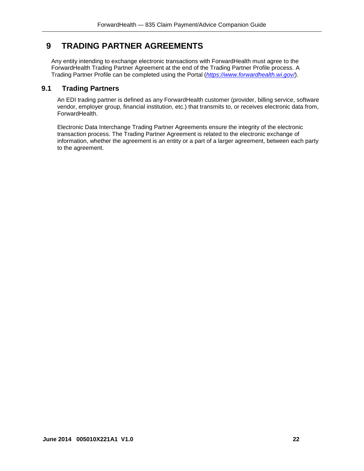# <span id="page-21-0"></span>**9 TRADING PARTNER AGREEMENTS**

Any entity intending to exchange electronic transactions with ForwardHealth must agree to the ForwardHealth Trading Partner Agreement at the end of the Trading Partner Profile process. A Trading Partner Profile can be completed using the Portal (*<https://www.forwardhealth.wi.gov/>*).

#### <span id="page-21-1"></span>**9.1 Trading Partners**

An EDI trading partner is defined as any ForwardHealth customer (provider, billing service, software vendor, employer group, financial institution, etc.) that transmits to, or receives electronic data from, ForwardHealth.

Electronic Data Interchange Trading Partner Agreements ensure the integrity of the electronic transaction process. The Trading Partner Agreement is related to the electronic exchange of information, whether the agreement is an entity or a part of a larger agreement, between each party to the agreement.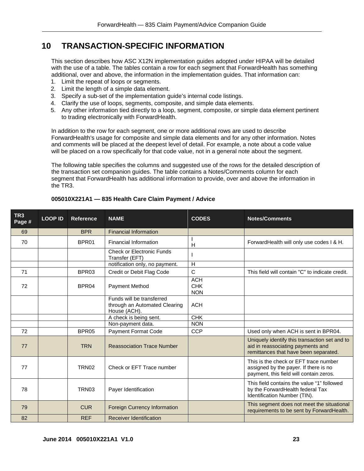# <span id="page-22-0"></span>**10 TRANSACTION-SPECIFIC INFORMATION**

This section describes how ASC X12N implementation guides adopted under HIPAA will be detailed with the use of a table. The tables contain a row for each segment that ForwardHealth has something additional, over and above, the information in the implementation guides. That information can:

- 1. Limit the repeat of loops or segments.
- 2. Limit the length of a simple data element.
- 3. Specify a sub-set of the implementation guide's internal code listings.
- 4. Clarify the use of loops, segments, composite, and simple data elements.
- 5. Any other information tied directly to a loop, segment, composite, or simple data element pertinent to trading electronically with ForwardHealth.

In addition to the row for each segment, one or more additional rows are used to describe ForwardHealth's usage for composite and simple data elements and for any other information. Notes and comments will be placed at the deepest level of detail. For example, a note about a code value will be placed on a row specifically for that code value, not in a general note about the segment.

The following table specifies the columns and suggested use of the rows for the detailed description of the transaction set companion guides. The table contains a Notes/Comments column for each segment that ForwardHealth has additional information to provide, over and above the information in the TR3.

| TR <sub>3</sub><br>Page # | <b>LOOP ID</b> | <b>Reference</b>  | <b>NAME</b>                                                                | <b>CODES</b>                           | <b>Notes/Comments</b>                                                                                                       |
|---------------------------|----------------|-------------------|----------------------------------------------------------------------------|----------------------------------------|-----------------------------------------------------------------------------------------------------------------------------|
| 69                        |                | <b>BPR</b>        | <b>Financial Information</b>                                               |                                        |                                                                                                                             |
| 70                        |                | BPR <sub>01</sub> | <b>Financial Information</b>                                               | H                                      | ForwardHealth will only use codes I & H.                                                                                    |
|                           |                |                   | <b>Check or Electronic Funds</b><br>Transfer (EFT)                         |                                        |                                                                                                                             |
|                           |                |                   | notification only, no payment.                                             | H                                      |                                                                                                                             |
| 71                        |                | BPR03             | Credit or Debit Flag Code                                                  | $\mathsf{C}$                           | This field will contain "C" to indicate credit.                                                                             |
| 72                        |                | BPR04             | Payment Method                                                             | <b>ACH</b><br><b>CHK</b><br><b>NON</b> |                                                                                                                             |
|                           |                |                   | Funds will be transferred<br>through an Automated Clearing<br>House (ACH). | <b>ACH</b>                             |                                                                                                                             |
|                           |                |                   | A check is being sent.                                                     | <b>CHK</b>                             |                                                                                                                             |
|                           |                |                   | Non-payment data.                                                          | <b>NON</b>                             |                                                                                                                             |
| 72                        |                | BPR <sub>05</sub> | <b>Payment Format Code</b>                                                 | <b>CCP</b>                             | Used only when ACH is sent in BPR04.                                                                                        |
| 77                        |                | <b>TRN</b>        | <b>Reassociation Trace Number</b>                                          |                                        | Uniquely identify this transaction set and to<br>aid in reassociating payments and<br>remittances that have been separated. |
| 77                        |                | TRN <sub>02</sub> | Check or EFT Trace number                                                  |                                        | This is the check or EFT trace number<br>assigned by the payer. If there is no<br>payment, this field will contain zeros.   |
| 78                        |                | TRN <sub>03</sub> | Payer Identification                                                       |                                        | This field contains the value "1" followed<br>by the ForwardHealth federal Tax<br>Identification Number (TIN).              |
| 79                        |                | <b>CUR</b>        | Foreign Currency Information                                               |                                        | This segment does not meet the situational<br>requirements to be sent by ForwardHealth.                                     |
| 82                        |                | <b>REF</b>        | <b>Receiver Identification</b>                                             |                                        |                                                                                                                             |

#### **005010X221A1 — 835 Health Care Claim Payment / Advice**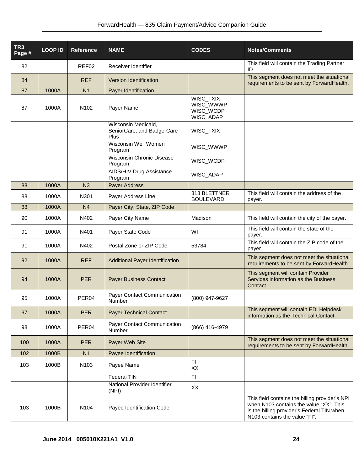| TR <sub>3</sub><br>Page # | <b>LOOP ID</b> | Reference         | <b>NAME</b>                                               | <b>CODES</b>                                     | <b>Notes/Comments</b>                                                                                                                                                    |
|---------------------------|----------------|-------------------|-----------------------------------------------------------|--------------------------------------------------|--------------------------------------------------------------------------------------------------------------------------------------------------------------------------|
| 82                        |                | REF02             | Receiver Identifier                                       |                                                  | This field will contain the Trading Partner<br>ID.                                                                                                                       |
| 84                        |                | <b>REF</b>        | <b>Version Identification</b>                             |                                                  | This segment does not meet the situational<br>requirements to be sent by ForwardHealth.                                                                                  |
| 87                        | 1000A          | N <sub>1</sub>    | Payer Identification                                      |                                                  |                                                                                                                                                                          |
| 87                        | 1000A          | N <sub>102</sub>  | Payer Name                                                | WISC_TXIX<br>WISC_WWWP<br>WISC_WCDP<br>WISC_ADAP |                                                                                                                                                                          |
|                           |                |                   | Wisconsin Medicaid,<br>SeniorCare, and BadgerCare<br>Plus | WISC_TXIX                                        |                                                                                                                                                                          |
|                           |                |                   | Wisconsin Well Women<br>Program                           | WISC_WWWP                                        |                                                                                                                                                                          |
|                           |                |                   | Wisconsin Chronic Disease<br>Program                      | WISC_WCDP                                        |                                                                                                                                                                          |
|                           |                |                   | AIDS/HIV Drug Assistance<br>Program                       | WISC_ADAP                                        |                                                                                                                                                                          |
| 88                        | 1000A          | N <sub>3</sub>    | Payer Address                                             |                                                  |                                                                                                                                                                          |
| 88                        | 1000A          | N301              | Payer Address Line                                        | 313 BLETTNER<br><b>BOULEVARD</b>                 | This field will contain the address of the<br>payer.                                                                                                                     |
| 88                        | 1000A          | N <sub>4</sub>    | Payer City, State, ZIP Code                               |                                                  |                                                                                                                                                                          |
| 90                        | 1000A          | N402              | Payer City Name                                           | Madison                                          | This field will contain the city of the payer.                                                                                                                           |
| 91                        | 1000A          | N401              | Payer State Code                                          | WI                                               | This field will contain the state of the<br>payer.                                                                                                                       |
| 91                        | 1000A          | N402              | Postal Zone or ZIP Code                                   | 53784                                            | This field will contain the ZIP code of the<br>payer.                                                                                                                    |
| 92                        | 1000A          | <b>REF</b>        | <b>Additional Payer Identification</b>                    |                                                  | This segment does not meet the situational<br>requirements to be sent by ForwardHealth.                                                                                  |
| 94                        | 1000A          | <b>PER</b>        | <b>Payer Business Contact</b>                             |                                                  | This segment will contain Provider<br>Services information as the Business<br>Contact.                                                                                   |
| 95                        | 1000A          | PER <sub>04</sub> | Payer Contact Communication<br>Number                     | (800) 947-9627                                   |                                                                                                                                                                          |
| 97                        | 1000A          | <b>PER</b>        | <b>Payer Technical Contact</b>                            |                                                  | This segment will contain EDI Helpdesk<br>information as the Technical Contact.                                                                                          |
| 98                        | 1000A          | PER04             | Payer Contact Communication<br>Number                     | (866) 416-4979                                   |                                                                                                                                                                          |
| 100                       | 1000A          | <b>PER</b>        | Payer Web Site                                            |                                                  | This segment does not meet the situational<br>requirements to be sent by ForwardHealth.                                                                                  |
| 102                       | 1000B          | N1                | Payee Identification                                      |                                                  |                                                                                                                                                                          |
| 103                       | 1000B          | N <sub>103</sub>  | Payee Name                                                | FI<br>XX                                         |                                                                                                                                                                          |
|                           |                |                   | <b>Federal TIN</b>                                        | F1                                               |                                                                                                                                                                          |
|                           |                |                   | National Provider Identifier<br>(NPI)                     | XX                                               |                                                                                                                                                                          |
| 103                       | 1000B          | N104              | Payee Identification Code                                 |                                                  | This field contains the billing provider's NPI<br>when N103 contains the value "XX". This<br>is the billing provider's Federal TIN when<br>N103 contains the value "FI". |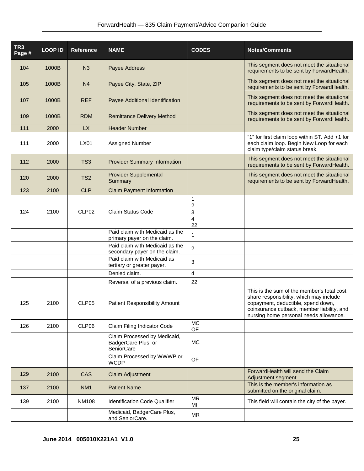| TR <sub>3</sub><br>Page # | <b>LOOP ID</b> | Reference         | <b>NAME</b>                                                       | <b>CODES</b>                                 | <b>Notes/Comments</b>                                                                                                                                                                                               |
|---------------------------|----------------|-------------------|-------------------------------------------------------------------|----------------------------------------------|---------------------------------------------------------------------------------------------------------------------------------------------------------------------------------------------------------------------|
| 104                       | 1000B          | N <sub>3</sub>    | Payee Address                                                     |                                              | This segment does not meet the situational<br>requirements to be sent by ForwardHealth.                                                                                                                             |
| 105                       | 1000B          | N <sub>4</sub>    | Payee City, State, ZIP                                            |                                              | This segment does not meet the situational<br>requirements to be sent by ForwardHealth.                                                                                                                             |
| 107                       | 1000B          | <b>REF</b>        | Payee Additional Identification                                   |                                              | This segment does not meet the situational<br>requirements to be sent by ForwardHealth.                                                                                                                             |
| 109                       | 1000B          | <b>RDM</b>        | <b>Remittance Delivery Method</b>                                 |                                              | This segment does not meet the situational<br>requirements to be sent by ForwardHealth.                                                                                                                             |
| 111                       | 2000           | <b>LX</b>         | <b>Header Number</b>                                              |                                              |                                                                                                                                                                                                                     |
| 111                       | 2000           | LX01              | Assigned Number                                                   |                                              | "1" for first claim loop within ST. Add +1 for<br>each claim loop. Begin New Loop for each<br>claim type/claim status break.                                                                                        |
| 112                       | 2000           | TS <sub>3</sub>   | <b>Provider Summary Information</b>                               |                                              | This segment does not meet the situational<br>requirements to be sent by ForwardHealth.                                                                                                                             |
| 120                       | 2000           | TS <sub>2</sub>   | <b>Provider Supplemental</b><br>Summary                           |                                              | This segment does not meet the situational<br>requirements to be sent by ForwardHealth.                                                                                                                             |
| 123                       | 2100           | <b>CLP</b>        | <b>Claim Payment Information</b>                                  |                                              |                                                                                                                                                                                                                     |
| 124                       | 2100           | CLP02             | <b>Claim Status Code</b>                                          | 1<br>$\overline{\mathbf{c}}$<br>3<br>4<br>22 |                                                                                                                                                                                                                     |
|                           |                |                   | Paid claim with Medicaid as the<br>primary payer on the claim.    | 1                                            |                                                                                                                                                                                                                     |
|                           |                |                   | Paid claim with Medicaid as the<br>secondary payer on the claim.  | $\overline{c}$                               |                                                                                                                                                                                                                     |
|                           |                |                   | Paid claim with Medicaid as<br>tertiary or greater payer.         | 3                                            |                                                                                                                                                                                                                     |
|                           |                |                   | Denied claim.                                                     | $\overline{4}$                               |                                                                                                                                                                                                                     |
|                           |                |                   | Reversal of a previous claim.                                     | 22                                           |                                                                                                                                                                                                                     |
| 125                       | 2100           | CLP <sub>05</sub> | Patient Responsibility Amount                                     |                                              | This is the sum of the member's total cost<br>share responsibility, which may include<br>copayment, deductible, spend down,<br>coinsurance cutback, member liability, and<br>nursing home personal needs allowance. |
| 126                       | 2100           | CLP06             | Claim Filing Indicator Code                                       | <b>MC</b><br>OF                              |                                                                                                                                                                                                                     |
|                           |                |                   | Claim Processed by Medicaid,<br>BadgerCare Plus, or<br>SeniorCare | <b>MC</b>                                    |                                                                                                                                                                                                                     |
|                           |                |                   | Claim Processed by WWWP or<br><b>WCDP</b>                         | OF                                           |                                                                                                                                                                                                                     |
| 129                       | 2100           | CAS               | Claim Adjustment                                                  |                                              | ForwardHealth will send the Claim<br>Adjustment segment.                                                                                                                                                            |
| 137                       | 2100           | NM <sub>1</sub>   | <b>Patient Name</b>                                               |                                              | This is the member's information as<br>submitted on the original claim.                                                                                                                                             |
| 139                       | 2100           | <b>NM108</b>      | <b>Identification Code Qualifier</b>                              | <b>MR</b><br>MI                              | This field will contain the city of the payer.                                                                                                                                                                      |
|                           |                |                   | Medicaid, BadgerCare Plus,<br>and SeniorCare.                     | <b>MR</b>                                    |                                                                                                                                                                                                                     |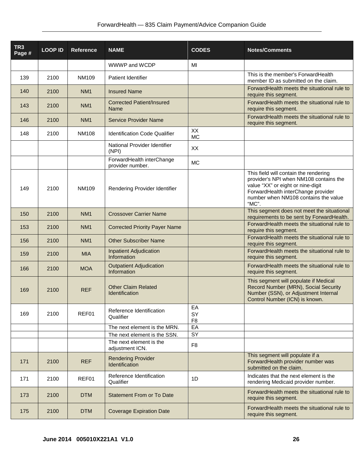| TR <sub>3</sub><br>Page # | <b>LOOP ID</b> | Reference       | <b>NAME</b>                                             | <b>CODES</b>               | <b>Notes/Comments</b>                                                                                                                                                                                       |
|---------------------------|----------------|-----------------|---------------------------------------------------------|----------------------------|-------------------------------------------------------------------------------------------------------------------------------------------------------------------------------------------------------------|
|                           |                |                 | WWWP and WCDP                                           | MI                         |                                                                                                                                                                                                             |
| 139                       | 2100           | NM109           | Patient Identifier                                      |                            | This is the member's ForwardHealth<br>member ID as submitted on the claim.                                                                                                                                  |
| 140                       | 2100           | NM <sub>1</sub> | <b>Insured Name</b>                                     |                            | Forward Health meets the situational rule to<br>require this segment.                                                                                                                                       |
| 143                       | 2100           | NM <sub>1</sub> | <b>Corrected Patient/Insured</b><br>Name                |                            | Forward Health meets the situational rule to<br>require this segment.                                                                                                                                       |
| 146                       | 2100           | NM <sub>1</sub> | Service Provider Name                                   |                            | ForwardHealth meets the situational rule to<br>require this segment.                                                                                                                                        |
| 148                       | 2100           | <b>NM108</b>    | <b>Identification Code Qualifier</b>                    | XX<br><b>MC</b>            |                                                                                                                                                                                                             |
|                           |                |                 | National Provider Identifier<br>(NPI)                   | XX                         |                                                                                                                                                                                                             |
|                           |                |                 | ForwardHealth interChange<br>provider number.           | <b>MC</b>                  |                                                                                                                                                                                                             |
| 149                       | 2100           | NM109           | Rendering Provider Identifier                           |                            | This field will contain the rendering<br>provider's NPI when NM108 contains the<br>value "XX" or eight or nine-digit<br>ForwardHealth interChange provider<br>number when NM108 contains the value<br>"MC". |
| 150                       | 2100           | NM <sub>1</sub> | <b>Crossover Carrier Name</b>                           |                            | This segment does not meet the situational<br>requirements to be sent by ForwardHealth.                                                                                                                     |
| 153                       | 2100           | NM <sub>1</sub> | <b>Corrected Priority Payer Name</b>                    |                            | ForwardHealth meets the situational rule to<br>require this segment.                                                                                                                                        |
| 156                       | 2100           | NM <sub>1</sub> | <b>Other Subscriber Name</b>                            |                            | ForwardHealth meets the situational rule to<br>require this segment.                                                                                                                                        |
| 159                       | 2100           | <b>MIA</b>      | <b>Inpatient Adjudication</b><br>Information            |                            | ForwardHealth meets the situational rule to<br>require this segment.                                                                                                                                        |
| 166                       | 2100           | <b>MOA</b>      | <b>Outpatient Adjudication</b><br>Information           |                            | ForwardHealth meets the situational rule to<br>require this segment.                                                                                                                                        |
| 169                       | 2100           | <b>REF</b>      | <b>Other Claim Related</b><br>Identification            |                            | This segment will populate if Medical<br>Record Number (MRN), Social Security<br>Number (SSN), or Adjustment Internal<br>Control Number (ICN) is known.                                                     |
| 169                       | 2100           | REF01           | Reference Identification<br>Qualifier                   | EА<br>SY<br>F <sub>8</sub> |                                                                                                                                                                                                             |
|                           |                |                 | The next element is the MRN.                            | EA                         |                                                                                                                                                                                                             |
|                           |                |                 | The next element is the SSN.<br>The next element is the | SY                         |                                                                                                                                                                                                             |
|                           |                |                 | adjustment ICN.                                         | F <sub>8</sub>             |                                                                                                                                                                                                             |
| 171                       | 2100           | <b>REF</b>      | <b>Rendering Provider</b><br>Identification             |                            | This segment will populate if a<br>ForwardHealth provider number was<br>submitted on the claim.                                                                                                             |
| 171                       | 2100           | REF01           | Reference Identification<br>Qualifier                   | 1D                         | Indicates that the next element is the<br>rendering Medicaid provider number.                                                                                                                               |
| 173                       | 2100           | <b>DTM</b>      | <b>Statement From or To Date</b>                        |                            | ForwardHealth meets the situational rule to<br>require this segment.                                                                                                                                        |
| 175                       | 2100           | <b>DTM</b>      | <b>Coverage Expiration Date</b>                         |                            | Forward Health meets the situational rule to<br>require this segment.                                                                                                                                       |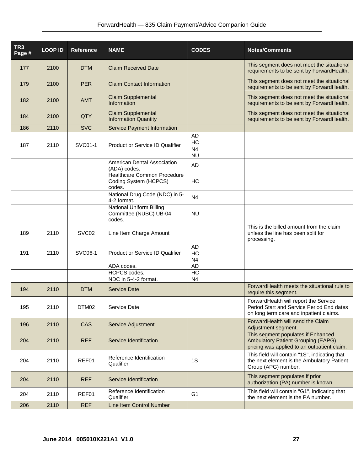| TR <sub>3</sub><br>Page # | <b>LOOP ID</b> | Reference         | <b>NAME</b>                                                           | <b>CODES</b>                                   | <b>Notes/Comments</b>                                                                                                          |
|---------------------------|----------------|-------------------|-----------------------------------------------------------------------|------------------------------------------------|--------------------------------------------------------------------------------------------------------------------------------|
| 177                       | 2100           | <b>DTM</b>        | <b>Claim Received Date</b>                                            |                                                | This segment does not meet the situational<br>requirements to be sent by ForwardHealth.                                        |
| 179                       | 2100           | <b>PER</b>        | <b>Claim Contact Information</b>                                      |                                                | This segment does not meet the situational<br>requirements to be sent by ForwardHealth.                                        |
| 182                       | 2100           | <b>AMT</b>        | Claim Supplemental<br>Information                                     |                                                | This segment does not meet the situational<br>requirements to be sent by ForwardHealth.                                        |
| 184                       | 2100           | QTY               | <b>Claim Supplemental</b><br><b>Information Quantity</b>              |                                                | This segment does not meet the situational<br>requirements to be sent by ForwardHealth.                                        |
| 186                       | 2110           | <b>SVC</b>        | Service Payment Information                                           |                                                |                                                                                                                                |
| 187                       | 2110           | SVC01-1           | <b>Product or Service ID Qualifier</b>                                | <b>AD</b><br>HC<br>N <sub>4</sub><br><b>NU</b> |                                                                                                                                |
|                           |                |                   | American Dental Association<br>(ADA) codes.                           | <b>AD</b>                                      |                                                                                                                                |
|                           |                |                   | <b>Healthcare Common Procedure</b><br>Coding System (HCPCS)<br>codes. | HC                                             |                                                                                                                                |
|                           |                |                   | National Drug Code (NDC) in 5-<br>4-2 format.                         | N <sub>4</sub>                                 |                                                                                                                                |
|                           |                |                   | <b>National Uniform Billing</b><br>Committee (NUBC) UB-04<br>codes.   | <b>NU</b>                                      |                                                                                                                                |
| 189                       | 2110           | SVC <sub>02</sub> | Line Item Charge Amount                                               |                                                | This is the billed amount from the claim<br>unless the line has been split for<br>processing.                                  |
| 191                       | 2110           | <b>SVC06-1</b>    | Product or Service ID Qualifier                                       | <b>AD</b><br>HC<br>N <sub>4</sub>              |                                                                                                                                |
|                           |                |                   | ADA codes.                                                            | A <sub>D</sub>                                 |                                                                                                                                |
|                           |                |                   | <b>HCPCS</b> codes.                                                   | HC                                             |                                                                                                                                |
|                           |                |                   | NDC in 5-4-2 format.                                                  | N <sub>4</sub>                                 |                                                                                                                                |
| 194                       | 2110           | <b>DTM</b>        | <b>Service Date</b>                                                   |                                                | ForwardHealth meets the situational rule to<br>require this segment.                                                           |
| 195                       | 2110           | DTM02             | Service Date                                                          |                                                | ForwardHealth will report the Service<br>Period Start and Service Period End dates<br>on long term care and inpatient claims.  |
| 196                       | 2110           | <b>CAS</b>        | Service Adjustment                                                    |                                                | ForwardHealth will send the Claim<br>Adjustment segment.                                                                       |
| 204                       | 2110           | <b>REF</b>        | Service Identification                                                |                                                | This segment populates if Enhanced<br><b>Ambulatory Patient Grouping (EAPG)</b><br>pricing was applied to an outpatient claim. |
| 204                       | 2110           | REF01             | Reference Identification<br>Qualifier                                 | 1S                                             | This field will contain "1S", indicating that<br>the next element is the Ambulatory Patient<br>Group (APG) number.             |
| 204                       | 2110           | <b>REF</b>        | Service Identification                                                |                                                | This segment populates if prior<br>authorization (PA) number is known.                                                         |
| 204                       | 2110           | REF01             | Reference Identification<br>Qualifier                                 | G <sub>1</sub>                                 | This field will contain "G1", indicating that<br>the next element is the PA number.                                            |
| 206                       | 2110           | <b>REF</b>        | <b>Line Item Control Number</b>                                       |                                                |                                                                                                                                |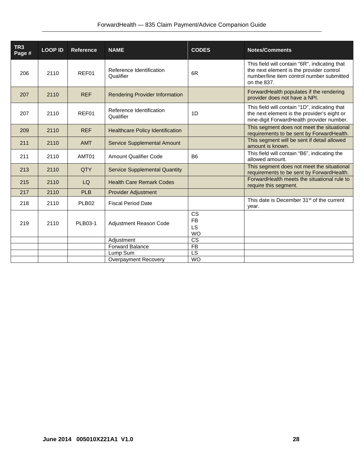| TR <sub>3</sub><br>Page # | <b>LOOP ID</b> | <b>Reference</b>  | <b>NAME</b>                             | <b>CODES</b>                              | <b>Notes/Comments</b>                                                                                                                                 |
|---------------------------|----------------|-------------------|-----------------------------------------|-------------------------------------------|-------------------------------------------------------------------------------------------------------------------------------------------------------|
| 206                       | 2110           | REF01             | Reference Identification<br>Qualifier   | 6R                                        | This field will contain "6R", indicating that<br>the next element is the provider control<br>number/line item control number submitted<br>on the 837. |
| 207                       | 2110           | <b>REF</b>        | <b>Rendering Provider Information</b>   |                                           | ForwardHealth populates if the rendering<br>provider does not have a NPI.                                                                             |
| 207                       | 2110           | REF01             | Reference Identification<br>Qualifier   | 1D                                        | This field will contain "1D", indicating that<br>the next element is the provider's eight or<br>nine-digit ForwardHealth provider number.             |
| 209                       | 2110           | <b>REF</b>        | <b>Healthcare Policy Identification</b> |                                           | This segment does not meet the situational<br>requirements to be sent by ForwardHealth.                                                               |
| 211                       | 2110           | <b>AMT</b>        | Service Supplemental Amount             |                                           | This segment will be sent if detail allowed<br>amount is known.                                                                                       |
| 211                       | 2110           | AMT01             | <b>Amount Qualifier Code</b>            | B <sub>6</sub>                            | This field will contain "B6", indicating the<br>allowed amount.                                                                                       |
| 213                       | 2110           | QTY               | <b>Service Supplemental Quantity</b>    |                                           | This segment does not meet the situational<br>requirements to be sent by ForwardHealth.                                                               |
| 215                       | 2110           | LQ                | <b>Health Care Remark Codes</b>         |                                           | ForwardHealth meets the situational rule to<br>require this segment.                                                                                  |
| 217                       | 2110           | <b>PLB</b>        | <b>Provider Adjustment</b>              |                                           |                                                                                                                                                       |
| 218                       | 2110           | PLB <sub>02</sub> | <b>Fiscal Period Date</b>               |                                           | This date is December 31 <sup>st</sup> of the current<br>year.                                                                                        |
| 219                       | 2110           | <b>PLB03-1</b>    | Adjustment Reason Code                  | <b>CS</b><br><b>FB</b><br>LS<br><b>WO</b> |                                                                                                                                                       |
|                           |                |                   | Adjustment                              | $\overline{\text{cs}}$                    |                                                                                                                                                       |
|                           |                |                   | Forward Balance                         | <b>FB</b>                                 |                                                                                                                                                       |
|                           |                |                   | Lump Sum                                | LS                                        |                                                                                                                                                       |
|                           |                |                   | Overpayment Recovery                    | <b>WO</b>                                 |                                                                                                                                                       |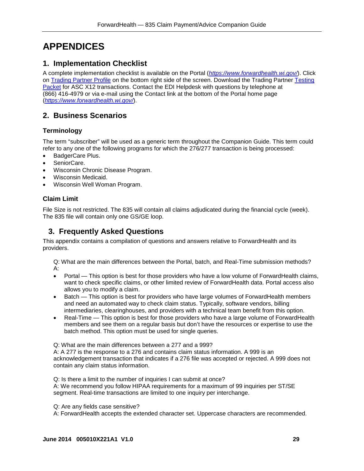# <span id="page-28-0"></span>**APPENDICES**

# <span id="page-28-1"></span>**1. Implementation Checklist**

A complete implementation checklist is available on the Portal (*<https://www.forwardhealth.wi.gov/>*). Click on Trading Partner Profile on the bottom right side of the screen. Download the Trading Partner Testing Packet for ASC X12 transactions. Contact the EDI Helpdesk with questions by telephone at (866) 416-4979 or via e-mail using the Contact link at the bottom of the Portal home page (*<https://www.forwardhealth.wi.gov/>*).

# <span id="page-28-2"></span>**2. Business Scenarios**

### **Terminology**

The term "subscriber" will be used as a generic term throughout the Companion Guide. This term could refer to any one of the following programs for which the 276/277 transaction is being processed:

- BadgerCare Plus.
- SeniorCare.
- Wisconsin Chronic Disease Program.
- Wisconsin Medicaid.
- Wisconsin Well Woman Program.

### **Claim Limit**

File Size is not restricted. The 835 will contain all claims adjudicated during the financial cycle (week). The 835 file will contain only one GS/GE loop.

# <span id="page-28-3"></span>**3. Frequently Asked Questions**

This appendix contains a compilation of questions and answers relative to ForwardHealth and its providers.

Q: What are the main differences between the Portal, batch, and Real-Time submission methods? A:

- Portal This option is best for those providers who have a low volume of ForwardHealth claims, want to check specific claims, or other limited review of ForwardHealth data. Portal access also allows you to modify a claim.
- Batch This option is best for providers who have large volumes of ForwardHealth members and need an automated way to check claim status. Typically, software vendors, billing intermediaries, clearinghouses, and providers with a technical team benefit from this option.
- Real-Time This option is best for those providers who have a large volume of ForwardHealth members and see them on a regular basis but don't have the resources or expertise to use the batch method. This option must be used for single queries.

Q: What are the main differences between a 277 and a 999?

A: A 277 is the response to a 276 and contains claim status information. A 999 is an acknowledgement transaction that indicates if a 276 file was accepted or rejected. A 999 does not contain any claim status information.

Q: Is there a limit to the number of inquiries I can submit at once?

A: We recommend you follow HIPAA requirements for a maximum of 99 inquiries per ST/SE segment. Real-time transactions are limited to one inquiry per interchange.

Q: Are any fields case sensitive?

A: ForwardHealth accepts the extended character set. Uppercase characters are recommended.